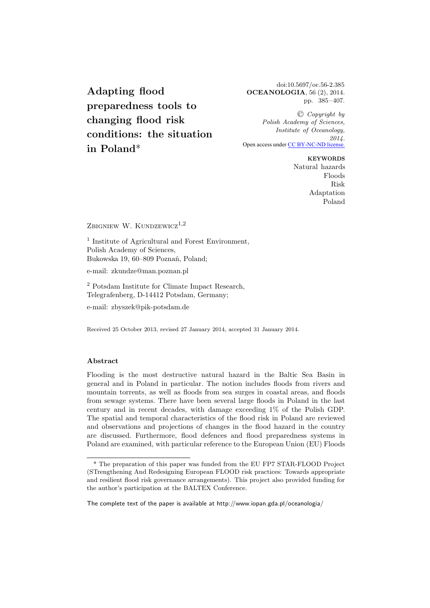**Adapting flood preparedness tools to changing flood risk conditions: the situation in Poland**\*

doi:10.5697/oc.56-2.385 **OCEANOLOGIA**, 56 (2), 2014. pp. 385–407.

 C *Copyright by Polish Academy of Sciences, Institute of Oceanology, 2014.* Open access under [CC BY-NC-ND license.](http://creativecommons.org/licenses/by-nc-nd/4.0/)

> **KEYWORDS** Natural hazards Floods Risk Adaptation Poland

ZBIGNIEW W. KUNDZEWICZ $^{1,2}$ 

<sup>1</sup> Institute of Agricultural and Forest Environment, Polish Academy of Sciences, Bukowska 19, 60–809 Poznań, Poland;

e-mail: zkundze@man.poznan.pl

<sup>2</sup> Potsdam Institute for Climate Impact Research, Telegrafenberg, D-14412 Potsdam, Germany;

e-mail: zbyszek@pik-potsdam.de

Received 25 October 2013, revised 27 January 2014, accepted 31 January 2014.

#### **Abstract**

Flooding is the most destructive natural hazard in the Baltic Sea Basin in general and in Poland in particular. The notion includes floods from rivers and mountain torrents, as well as floods from sea surges in coastal areas, and floods from sewage systems. There have been several large floods in Poland in the last century and in recent decades, with damage exceeding 1% of the Polish GDP. The spatial and temporal characteristics of the flood risk in Poland are reviewed and observations and projections of changes in the flood hazard in the country are discussed. Furthermore, flood defences and flood preparedness systems in Poland are examined, with particular reference to the European Union (EU) Floods

<sup>\*</sup> The preparation of this paper was funded from the EU FP7 STAR-FLOOD Project (STrengthening And Redesigning European FLOOD risk practices: Towards appropriate and resilient flood risk governance arrangements). This project also provided funding for the author's participation at the BALTEX Conference.

The complete text of the paper is available at http://www.iopan.gda.pl/oceanologia/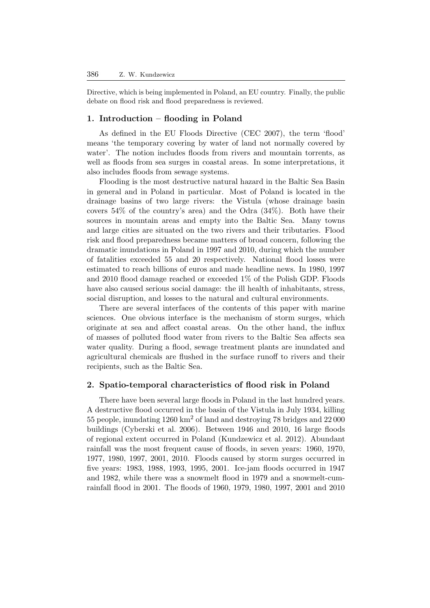Directive, which is being implemented in Poland, an EU country. Finally, the public debate on flood risk and flood preparedness is reviewed.

# **1. Introduction – flooding in Poland**

As defined in the EU Floods Directive (CEC 2007), the term 'flood' means 'the temporary covering by water of land not normally covered by water'. The notion includes floods from rivers and mountain torrents, as well as floods from sea surges in coastal areas. In some interpretations, it also includes floods from sewage systems.

Flooding is the most destructive natural hazard in the Baltic Sea Basin in general and in Poland in particular. Most of Poland is located in the drainage basins of two large rivers: the Vistula (whose drainage basin covers 54% of the country's area) and the Odra (34%). Both have their sources in mountain areas and empty into the Baltic Sea. Many towns and large cities are situated on the two rivers and their tributaries. Flood risk and flood preparedness became matters of broad concern, following the dramatic inundations in Poland in 1997 and 2010, during which the number of fatalities exceeded 55 and 20 respectively. National flood losses were estimated to reach billions of euros and made headline news. In 1980, 1997 and 2010 flood damage reached or exceeded 1% of the Polish GDP. Floods have also caused serious social damage: the ill health of inhabitants, stress, social disruption, and losses to the natural and cultural environments.

There are several interfaces of the contents of this paper with marine sciences. One obvious interface is the mechanism of storm surges, which originate at sea and affect coastal areas. On the other hand, the influx of masses of polluted flood water from rivers to the Baltic Sea affects sea water quality. During a flood, sewage treatment plants are inundated and agricultural chemicals are flushed in the surface runoff to rivers and their recipients, such as the Baltic Sea.

# **2. Spatio-temporal characteristics of flood risk in Poland**

There have been several large floods in Poland in the last hundred years. A destructive flood occurred in the basin of the Vistula in July 1934, killing 55 people, inundating  $1260 \text{ km}^2$  of land and destroying 78 bridges and  $22000$ buildings (Cyberski et al. 2006). Between 1946 and 2010, 16 large floods of regional extent occurred in Poland (Kundzewicz et al. 2012). Abundant rainfall was the most frequent cause of floods, in seven years: 1960, 1970, 1977, 1980, 1997, 2001, 2010. Floods caused by storm surges occurred in five years: 1983, 1988, 1993, 1995, 2001. Ice-jam floods occurred in 1947 and 1982, while there was a snowmelt flood in 1979 and a snowmelt-cumrainfall flood in 2001. The floods of 1960, 1979, 1980, 1997, 2001 and 2010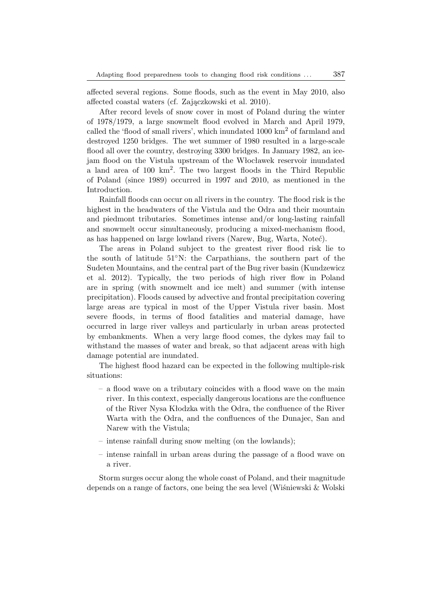affected several regions. Some floods, such as the event in May 2010, also affected coastal waters (cf. Zajączkowski et al. 2010).

After record levels of snow cover in most of Poland during the winter of 1978/1979, a large snowmelt flood evolved in March and April 1979, called the 'flood of small rivers', which inundated 1000 km<sup>2</sup> of farmland and destroyed 1250 bridges. The wet summer of 1980 resulted in a large-scale flood all over the country, destroying 3300 bridges. In January 1982, an icejam flood on the Vistula upstream of the Włocławek reservoir inundated a land area of 100 km<sup>2</sup>. The two largest floods in the Third Republic of Poland (since 1989) occurred in 1997 and 2010, as mentioned in the Introduction.

Rainfall floods can occur on all rivers in the country. The flood risk is the highest in the headwaters of the Vistula and the Odra and their mountain and piedmont tributaries. Sometimes intense and/or long-lasting rainfall and snowmelt occur simultaneously, producing a mixed-mechanism flood, as has happened on large lowland rivers (Narew, Bug, Warta, Noteć).

The areas in Poland subject to the greatest river flood risk lie to the south of latitude 51◦N: the Carpathians, the southern part of the Sudeten Mountains, and the central part of the Bug river basin (Kundzewicz et al. 2012). Typically, the two periods of high river flow in Poland are in spring (with snowmelt and ice melt) and summer (with intense precipitation). Floods caused by advective and frontal precipitation covering large areas are typical in most of the Upper Vistula river basin. Most severe floods, in terms of flood fatalities and material damage, have occurred in large river valleys and particularly in urban areas protected by embankments. When a very large flood comes, the dykes may fail to withstand the masses of water and break, so that adjacent areas with high damage potential are inundated.

The highest flood hazard can be expected in the following multiple-risk situations:

- a flood wave on a tributary coincides with a flood wave on the main river. In this context, especially dangerous locations are the confluence of the River Nysa Kłodzka with the Odra, the confluence of the River Warta with the Odra, and the confluences of the Dunajec, San and Narew with the Vistula;
- intense rainfall during snow melting (on the lowlands);
- intense rainfall in urban areas during the passage of a flood wave on a river.

Storm surges occur along the whole coast of Poland, and their magnitude depends on a range of factors, one being the sea level (Wiśniewski & Wolski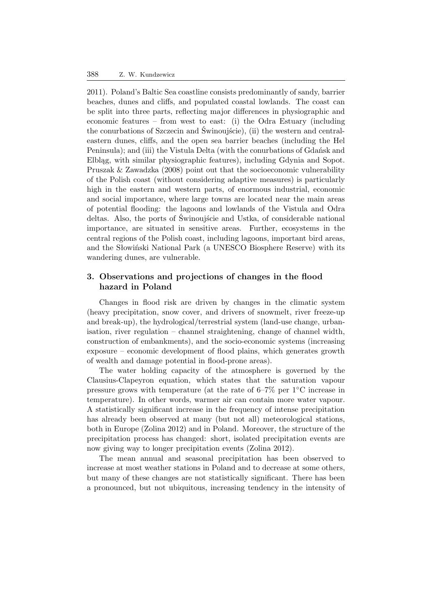#### 388 Z. W. Kundzewicz

2011). Poland's Baltic Sea coastline consists predominantly of sandy, barrier beaches, dunes and cliffs, and populated coastal lowlands. The coast can be split into three parts, reflecting major differences in physiographic and economic features – from west to east: (i) the Odra Estuary (including the conurbations of Szczecin and Świnoujście), (ii) the western and centraleastern dunes, cliffs, and the open sea barrier beaches (including the Hel Peninsula); and (iii) the Vistula Delta (with the conurbations of Gdańsk and Elbląg, with similar physiographic features), including Gdynia and Sopot. Pruszak & Zawadzka (2008) point out that the socioeconomic vulnerability of the Polish coast (without considering adaptive measures) is particularly high in the eastern and western parts, of enormous industrial, economic and social importance, where large towns are located near the main areas of potential flooding: the lagoons and lowlands of the Vistula and Odra deltas. Also, the ports of Świnoujście and Ustka, of considerable national importance, are situated in sensitive areas. Further, ecosystems in the central regions of the Polish coast, including lagoons, important bird areas, and the Słowiński National Park (a UNESCO Biosphere Reserve) with its wandering dunes, are vulnerable.

# **3. Observations and projections of changes in the flood hazard in Poland**

Changes in flood risk are driven by changes in the climatic system (heavy precipitation, snow cover, and drivers of snowmelt, river freeze-up and break-up), the hydrological/terrestrial system (land-use change, urbanisation, river regulation – channel straightening, change of channel width, construction of embankments), and the socio-economic systems (increasing exposure – economic development of flood plains, which generates growth of wealth and damage potential in flood-prone areas).

The water holding capacity of the atmosphere is governed by the Clausius-Clapeyron equation, which states that the saturation vapour pressure grows with temperature (at the rate of  $6-7\%$  per  $1°C$  increase in temperature). In other words, warmer air can contain more water vapour. A statistically significant increase in the frequency of intense precipitation has already been observed at many (but not all) meteorological stations, both in Europe (Zolina 2012) and in Poland. Moreover, the structure of the precipitation process has changed: short, isolated precipitation events are now giving way to longer precipitation events (Zolina 2012).

The mean annual and seasonal precipitation has been observed to increase at most weather stations in Poland and to decrease at some others, but many of these changes are not statistically significant. There has been a pronounced, but not ubiquitous, increasing tendency in the intensity of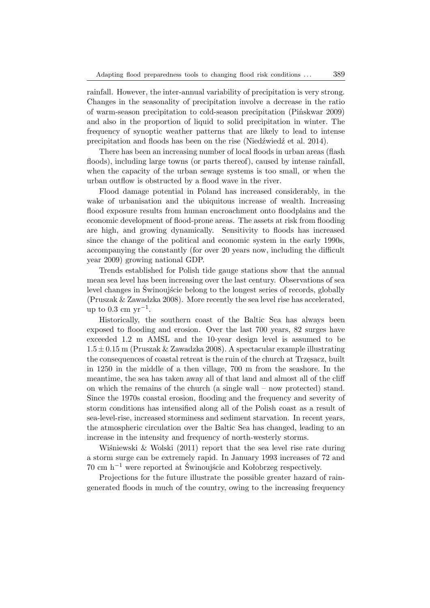rainfall. However, the inter-annual variability of precipitation is very strong. Changes in the seasonality of precipitation involve a decrease in the ratio of warm-season precipitation to cold-season precipitation (Pińskwar 2009) and also in the proportion of liquid to solid precipitation in winter. The frequency of synoptic weather patterns that are likely to lead to intense precipitation and floods has been on the rise (Niedźwiedź et al. 2014).

There has been an increasing number of local floods in urban areas (flash floods), including large towns (or parts thereof), caused by intense rainfall, when the capacity of the urban sewage systems is too small, or when the urban outflow is obstructed by a flood wave in the river.

Flood damage potential in Poland has increased considerably, in the wake of urbanisation and the ubiquitous increase of wealth. Increasing flood exposure results from human encroachment onto floodplains and the economic development of flood-prone areas. The assets at risk from flooding are high, and growing dynamically. Sensitivity to floods has increased since the change of the political and economic system in the early 1990s, accompanying the constantly (for over 20 years now, including the difficult year 2009) growing national GDP.

Trends established for Polish tide gauge stations show that the annual mean sea level has been increasing over the last century. Observations of sea level changes in Świnoujście belong to the longest series of records, globally (Pruszak & Zawadzka 2008). More recently the sea level rise has accelerated, up to 0.3 cm  $yr^{-1}$ .

Historically, the southern coast of the Baltic Sea has always been exposed to flooding and erosion. Over the last 700 years, 82 surges have exceeded 1.2 m AMSL and the 10-year design level is assumed to be  $1.5 \pm 0.15$  m (Pruszak & Zawadzka 2008). A spectacular example illustrating the consequences of coastal retreat is the ruin of the church at Trzęsacz, built in 1250 in the middle of a then village, 700 m from the seashore. In the meantime, the sea has taken away all of that land and almost all of the cliff on which the remains of the church (a single wall – now protected) stand. Since the 1970s coastal erosion, flooding and the frequency and severity of storm conditions has intensified along all of the Polish coast as a result of sea-level-rise, increased storminess and sediment starvation. In recent years, the atmospheric circulation over the Baltic Sea has changed, leading to an increase in the intensity and frequency of north-westerly storms.

Wiśniewski & Wolski (2011) report that the sea level rise rate during a storm surge can be extremely rapid. In January 1993 increases of 72 and 70 cm h−<sup>1</sup> were reported at Świnoujście and Kołobrzeg respectively.

Projections for the future illustrate the possible greater hazard of raingenerated floods in much of the country, owing to the increasing frequency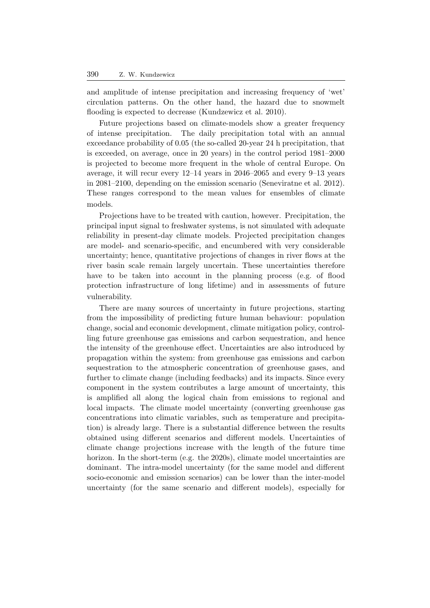and amplitude of intense precipitation and increasing frequency of 'wet' circulation patterns. On the other hand, the hazard due to snowmelt flooding is expected to decrease (Kundzewicz et al. 2010).

Future projections based on climate-models show a greater frequency of intense precipitation. The daily precipitation total with an annual exceedance probability of 0.05 (the so-called 20-year 24 h precipitation, that is exceeded, on average, once in 20 years) in the control period 1981–2000 is projected to become more frequent in the whole of central Europe. On average, it will recur every 12–14 years in 2046–2065 and every 9–13 years in 2081–2100, depending on the emission scenario (Seneviratne et al. 2012). These ranges correspond to the mean values for ensembles of climate models.

Projections have to be treated with caution, however. Precipitation, the principal input signal to freshwater systems, is not simulated with adequate reliability in present-day climate models. Projected precipitation changes are model- and scenario-specific, and encumbered with very considerable uncertainty; hence, quantitative projections of changes in river flows at the river basin scale remain largely uncertain. These uncertainties therefore have to be taken into account in the planning process (e.g. of flood protection infrastructure of long lifetime) and in assessments of future vulnerability.

There are many sources of uncertainty in future projections, starting from the impossibility of predicting future human behaviour: population change, social and economic development, climate mitigation policy, controlling future greenhouse gas emissions and carbon sequestration, and hence the intensity of the greenhouse effect. Uncertainties are also introduced by propagation within the system: from greenhouse gas emissions and carbon sequestration to the atmospheric concentration of greenhouse gases, and further to climate change (including feedbacks) and its impacts. Since every component in the system contributes a large amount of uncertainty, this is amplified all along the logical chain from emissions to regional and local impacts. The climate model uncertainty (converting greenhouse gas concentrations into climatic variables, such as temperature and precipitation) is already large. There is a substantial difference between the results obtained using different scenarios and different models. Uncertainties of climate change projections increase with the length of the future time horizon. In the short-term (e.g. the 2020s), climate model uncertainties are dominant. The intra-model uncertainty (for the same model and different socio-economic and emission scenarios) can be lower than the inter-model uncertainty (for the same scenario and different models), especially for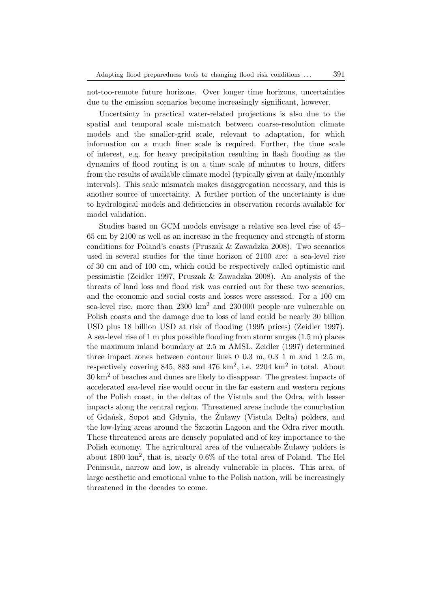not-too-remote future horizons. Over longer time horizons, uncertainties due to the emission scenarios become increasingly significant, however.

Uncertainty in practical water-related projections is also due to the spatial and temporal scale mismatch between coarse-resolution climate models and the smaller-grid scale, relevant to adaptation, for which information on a much finer scale is required. Further, the time scale of interest, e.g. for heavy precipitation resulting in flash flooding as the dynamics of flood routing is on a time scale of minutes to hours, differs from the results of available climate model (typically given at daily/monthly intervals). This scale mismatch makes disaggregation necessary, and this is another source of uncertainty. A further portion of the uncertainty is due to hydrological models and deficiencies in observation records available for model validation.

Studies based on GCM models envisage a relative sea level rise of 45– 65 cm by 2100 as well as an increase in the frequency and strength of storm conditions for Poland's coasts (Pruszak & Zawadzka 2008). Two scenarios used in several studies for the time horizon of 2100 are: a sea-level rise of 30 cm and of 100 cm, which could be respectively called optimistic and pessimistic (Zeidler 1997, Pruszak & Zawadzka 2008). An analysis of the threats of land loss and flood risk was carried out for these two scenarios, and the economic and social costs and losses were assessed. For a 100 cm sea-level rise, more than 2300 km<sup>2</sup> and 230 000 people are vulnerable on Polish coasts and the damage due to loss of land could be nearly 30 billion USD plus 18 billion USD at risk of flooding (1995 prices) (Zeidler 1997). A sea-level rise of 1 m plus possible flooding from storm surges (1.5 m) places the maximum inland boundary at 2.5 m AMSL. Zeidler (1997) determined three impact zones between contour lines  $0-0.3$  m,  $0.3-1$  m and  $1-2.5$  m, respectively covering 845, 883 and 476  $km^2$ , i.e. 2204  $km^2$  in total. About  $30 \text{ km}^2$  of beaches and dunes are likely to disappear. The greatest impacts of accelerated sea-level rise would occur in the far eastern and western regions of the Polish coast, in the deltas of the Vistula and the Odra, with lesser impacts along the central region. Threatened areas include the conurbation of Gdańsk, Sopot and Gdynia, the Żuławy (Vistula Delta) polders, and the low-lying areas around the Szczecin Lagoon and the Odra river mouth. These threatened areas are densely populated and of key importance to the Polish economy. The agricultural area of the vulnerable Żuławy polders is about 1800 km<sup>2</sup> , that is, nearly 0.6% of the total area of Poland. The Hel Peninsula, narrow and low, is already vulnerable in places. This area, of large aesthetic and emotional value to the Polish nation, will be increasingly threatened in the decades to come.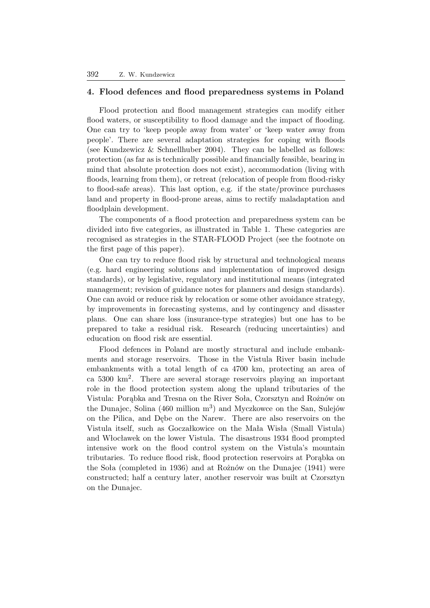# **4. Flood defences and flood preparedness systems in Poland**

Flood protection and flood management strategies can modify either flood waters, or susceptibility to flood damage and the impact of flooding. One can try to 'keep people away from water' or 'keep water away from people'. There are several adaptation strategies for coping with floods (see Kundzewicz & Schnellhuber 2004). They can be labelled as follows: protection (as far as is technically possible and financially feasible, bearing in mind that absolute protection does not exist), accommodation (living with floods, learning from them), or retreat (relocation of people from flood-risky to flood-safe areas). This last option, e.g. if the state/province purchases land and property in flood-prone areas, aims to rectify maladaptation and floodplain development.

The components of a flood protection and preparedness system can be divided into five categories, as illustrated in Table 1. These categories are recognised as strategies in the STAR-FLOOD Project (see the footnote on the first page of this paper).

One can try to reduce flood risk by structural and technological means (e.g. hard engineering solutions and implementation of improved design standards), or by legislative, regulatory and institutional means (integrated management; revision of guidance notes for planners and design standards). One can avoid or reduce risk by relocation or some other avoidance strategy, by improvements in forecasting systems, and by contingency and disaster plans. One can share loss (insurance-type strategies) but one has to be prepared to take a residual risk. Research (reducing uncertainties) and education on flood risk are essential.

Flood defences in Poland are mostly structural and include embankments and storage reservoirs. Those in the Vistula River basin include embankments with a total length of ca 4700 km, protecting an area of ca 5300 km<sup>2</sup> . There are several storage reservoirs playing an important role in the flood protection system along the upland tributaries of the Vistula: Porąbka and Tresna on the River Soła, Czorsztyn and Rożnów on the Dunajec, Solina (460 million m<sup>3</sup>) and Myczkowce on the San, Sulejów on the Pilica, and Dębe on the Narew. There are also reservoirs on the Vistula itself, such as Goczałkowice on the Mała Wisła (Small Vistula) and Włocławek on the lower Vistula. The disastrous 1934 flood prompted intensive work on the flood control system on the Vistula's mountain tributaries. To reduce flood risk, flood protection reservoirs at Porąbka on the Soła (completed in 1936) and at Rożnów on the Dunajec (1941) were constructed; half a century later, another reservoir was built at Czorsztyn on the Dunajec.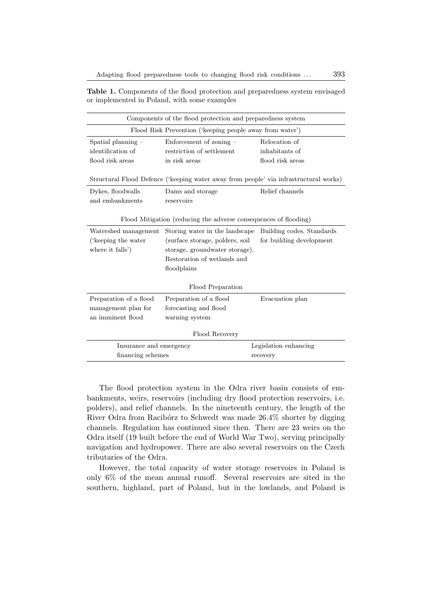| Components of the flood protection and preparedness system                            |                                                                   |                                                       |
|---------------------------------------------------------------------------------------|-------------------------------------------------------------------|-------------------------------------------------------|
| Flood Risk Prevention ('keeping people away from water')                              |                                                                   |                                                       |
| Spatial planning $-$                                                                  | Enforcement of zoning $-$                                         | Relocation of                                         |
| identification of                                                                     | restriction of settlement                                         | inhabitants of                                        |
| flood risk areas                                                                      | in risk areas                                                     | flood risk areas                                      |
| Structural Flood Defence ('keeping water away from people' via infrastructural works) |                                                                   |                                                       |
| Dykes, floodwalls                                                                     | Dams and storage                                                  | Relief channels                                       |
| and embankments                                                                       | reservoirs                                                        |                                                       |
|                                                                                       |                                                                   |                                                       |
| Flood Mitigation (reducing the adverse consequences of flooding)                      |                                                                   |                                                       |
| Watershed management<br>('keeping the water                                           | Storing water in the landscape<br>(surface storage, polders, soil | Building codes. Standards<br>for building development |
| where it falls')                                                                      | storage, groundwater storage).                                    |                                                       |
|                                                                                       | Restoration of wetlands and                                       |                                                       |
|                                                                                       | floodplains                                                       |                                                       |
| Flood Preparation                                                                     |                                                                   |                                                       |
| Preparation of a flood                                                                | Preparation of a flood                                            | Evacuation plan                                       |
| management plan for                                                                   | forecasting and flood                                             |                                                       |
| an imminent flood                                                                     | warning system                                                    |                                                       |
| Flood Recovery                                                                        |                                                                   |                                                       |
| Insurance and emergency                                                               |                                                                   | Legislation enhancing                                 |
| financing schemes                                                                     |                                                                   | recovery                                              |

**Table 1.** Components of the flood protection and preparedness system envisaged or implemented in Poland, with some examples

The flood protection system in the Odra river basin consists of embankments, weirs, reservoirs (including dry flood protection reservoirs, i.e. polders), and relief channels. In the nineteenth century, the length of the River Odra from Racibórz to Schwedt was made 26.4% shorter by digging channels. Regulation has continued since then. There are 23 weirs on the Odra itself (19 built before the end of World War Two), serving principally navigation and hydropower. There are also several reservoirs on the Czech tributaries of the Odra.

However, the total capacity of water storage reservoirs in Poland is only 6% of the mean annual runoff. Several reservoirs are sited in the southern, highland, part of Poland, but in the lowlands, and Poland is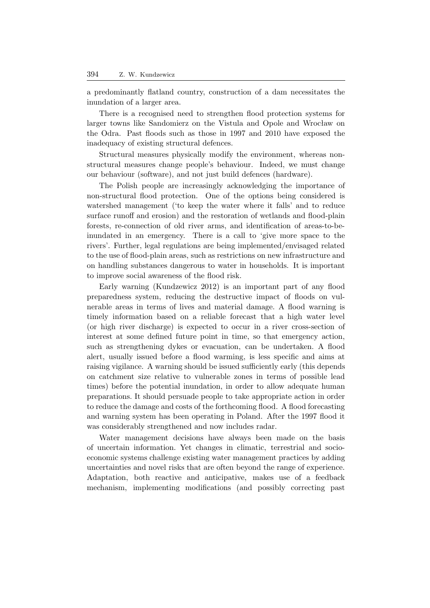a predominantly flatland country, construction of a dam necessitates the inundation of a larger area.

There is a recognised need to strengthen flood protection systems for larger towns like Sandomierz on the Vistula and Opole and Wrocław on the Odra. Past floods such as those in 1997 and 2010 have exposed the inadequacy of existing structural defences.

Structural measures physically modify the environment, whereas nonstructural measures change people's behaviour. Indeed, we must change our behaviour (software), and not just build defences (hardware).

The Polish people are increasingly acknowledging the importance of non-structural flood protection. One of the options being considered is watershed management ('to keep the water where it falls' and to reduce surface runoff and erosion) and the restoration of wetlands and flood-plain forests, re-connection of old river arms, and identification of areas-to-beinundated in an emergency. There is a call to 'give more space to the rivers'. Further, legal regulations are being implemented/envisaged related to the use of flood-plain areas, such as restrictions on new infrastructure and on handling substances dangerous to water in households. It is important to improve social awareness of the flood risk.

Early warning (Kundzewicz 2012) is an important part of any flood preparedness system, reducing the destructive impact of floods on vulnerable areas in terms of lives and material damage. A flood warning is timely information based on a reliable forecast that a high water level (or high river discharge) is expected to occur in a river cross-section of interest at some defined future point in time, so that emergency action, such as strengthening dykes or evacuation, can be undertaken. A flood alert, usually issued before a flood warming, is less specific and aims at raising vigilance. A warning should be issued sufficiently early (this depends on catchment size relative to vulnerable zones in terms of possible lead times) before the potential inundation, in order to allow adequate human preparations. It should persuade people to take appropriate action in order to reduce the damage and costs of the forthcoming flood. A flood forecasting and warning system has been operating in Poland. After the 1997 flood it was considerably strengthened and now includes radar.

Water management decisions have always been made on the basis of uncertain information. Yet changes in climatic, terrestrial and socioeconomic systems challenge existing water management practices by adding uncertainties and novel risks that are often beyond the range of experience. Adaptation, both reactive and anticipative, makes use of a feedback mechanism, implementing modifications (and possibly correcting past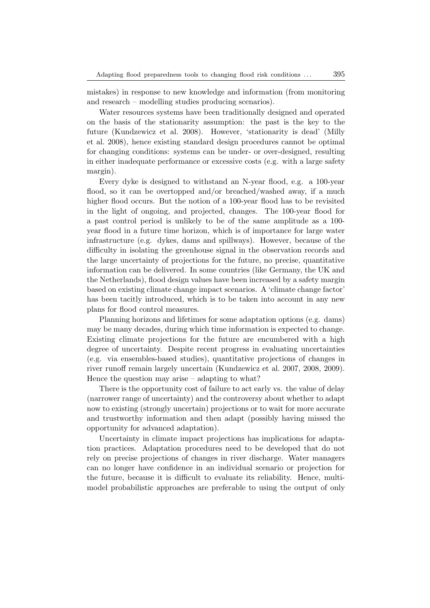mistakes) in response to new knowledge and information (from monitoring and research – modelling studies producing scenarios).

Water resources systems have been traditionally designed and operated on the basis of the stationarity assumption: the past is the key to the future (Kundzewicz et al. 2008). However, 'stationarity is dead' (Milly et al. 2008), hence existing standard design procedures cannot be optimal for changing conditions: systems can be under- or over-designed, resulting in either inadequate performance or excessive costs (e.g. with a large safety margin).

Every dyke is designed to withstand an N-year flood, e.g. a 100-year flood, so it can be overtopped and/or breached/washed away, if a much higher flood occurs. But the notion of a 100-year flood has to be revisited in the light of ongoing, and projected, changes. The 100-year flood for a past control period is unlikely to be of the same amplitude as a 100 year flood in a future time horizon, which is of importance for large water infrastructure (e.g. dykes, dams and spillways). However, because of the difficulty in isolating the greenhouse signal in the observation records and the large uncertainty of projections for the future, no precise, quantitative information can be delivered. In some countries (like Germany, the UK and the Netherlands), flood design values have been increased by a safety margin based on existing climate change impact scenarios. A 'climate change factor' has been tacitly introduced, which is to be taken into account in any new plans for flood control measures.

Planning horizons and lifetimes for some adaptation options (e.g. dams) may be many decades, during which time information is expected to change. Existing climate projections for the future are encumbered with a high degree of uncertainty. Despite recent progress in evaluating uncertainties (e.g. via ensembles-based studies), quantitative projections of changes in river runoff remain largely uncertain (Kundzewicz et al. 2007, 2008, 2009). Hence the question may arise – adapting to what?

There is the opportunity cost of failure to act early vs. the value of delay (narrower range of uncertainty) and the controversy about whether to adapt now to existing (strongly uncertain) projections or to wait for more accurate and trustworthy information and then adapt (possibly having missed the opportunity for advanced adaptation).

Uncertainty in climate impact projections has implications for adaptation practices. Adaptation procedures need to be developed that do not rely on precise projections of changes in river discharge. Water managers can no longer have confidence in an individual scenario or projection for the future, because it is difficult to evaluate its reliability. Hence, multimodel probabilistic approaches are preferable to using the output of only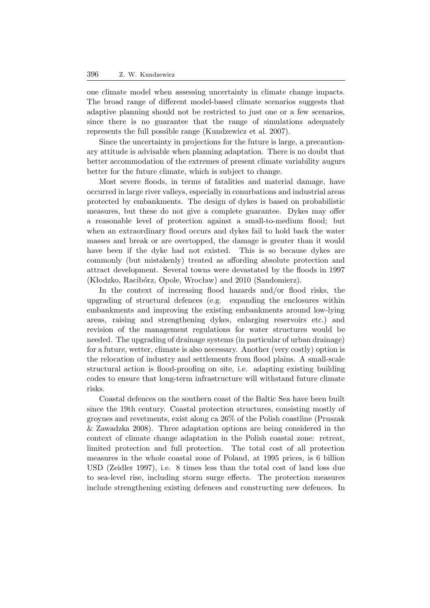one climate model when assessing uncertainty in climate change impacts. The broad range of different model-based climate scenarios suggests that adaptive planning should not be restricted to just one or a few scenarios, since there is no guarantee that the range of simulations adequately represents the full possible range (Kundzewicz et al. 2007).

Since the uncertainty in projections for the future is large, a precautionary attitude is advisable when planning adaptation. There is no doubt that better accommodation of the extremes of present climate variability augurs better for the future climate, which is subject to change.

Most severe floods, in terms of fatalities and material damage, have occurred in large river valleys, especially in conurbations and industrial areas protected by embankments. The design of dykes is based on probabilistic measures, but these do not give a complete guarantee. Dykes may offer a reasonable level of protection against a small-to-medium flood; but when an extraordinary flood occurs and dykes fail to hold back the water masses and break or are overtopped, the damage is greater than it would have been if the dyke had not existed. This is so because dykes are commonly (but mistakenly) treated as affording absolute protection and attract development. Several towns were devastated by the floods in 1997 (Kłodzko, Racibórz, Opole, Wrocław) and 2010 (Sandomierz).

In the context of increasing flood hazards and/or flood risks, the upgrading of structural defences (e.g. expanding the enclosures within embankments and improving the existing embankments around low-lying areas, raising and strengthening dykes, enlarging reservoirs etc.) and revision of the management regulations for water structures would be needed. The upgrading of drainage systems (in particular of urban drainage) for a future, wetter, climate is also necessary. Another (very costly) option is the relocation of industry and settlements from flood plains. A small-scale structural action is flood-proofing on site, i.e. adapting existing building codes to ensure that long-term infrastructure will withstand future climate risks.

Coastal defences on the southern coast of the Baltic Sea have been built since the 19th century. Coastal protection structures, consisting mostly of groynes and revetments, exist along ca 26% of the Polish coastline (Pruszak & Zawadzka 2008). Three adaptation options are being considered in the context of climate change adaptation in the Polish coastal zone: retreat, limited protection and full protection. The total cost of all protection measures in the whole coastal zone of Poland, at 1995 prices, is 6 billion USD (Zeidler 1997), i.e. 8 times less than the total cost of land loss due to sea-level rise, including storm surge effects. The protection measures include strengthening existing defences and constructing new defences. In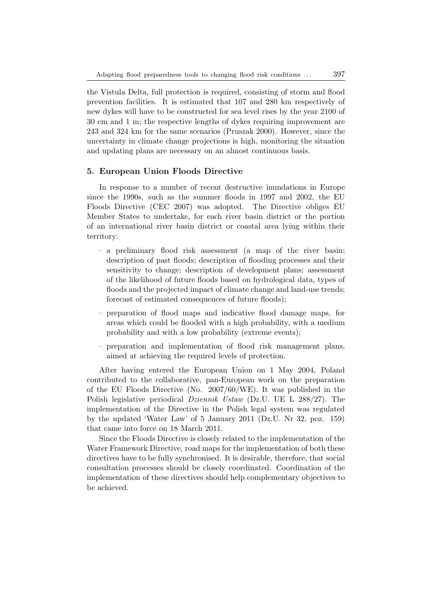the Vistula Delta, full protection is required, consisting of storm and flood prevention facilities. It is estimated that 107 and 280 km respectively of new dykes will have to be constructed for sea level rises by the year 2100 of 30 cm and 1 m; the respective lengths of dykes requiring improvement are 243 and 324 km for the same scenarios (Pruszak 2000). However, since the uncertainty in climate change projections is high, monitoring the situation and updating plans are necessary on an almost continuous basis.

## **5. European Union Floods Directive**

In response to a number of recent destructive inundations in Europe since the 1990s, such as the summer floods in 1997 and 2002, the EU Floods Directive (CEC 2007) was adopted. The Directive obliges EU Member States to undertake, for each river basin district or the portion of an international river basin district or coastal area lying within their territory:

- a preliminary flood risk assessment (a map of the river basin; description of past floods; description of flooding processes and their sensitivity to change; description of development plans; assessment of the likelihood of future floods based on hydrological data, types of floods and the projected impact of climate change and land-use trends; forecast of estimated consequences of future floods);
- preparation of flood maps and indicative flood damage maps, for areas which could be flooded with a high probability, with a medium probability and with a low probability (extreme events);
- preparation and implementation of flood risk management plans, aimed at achieving the required levels of protection.

After having entered the European Union on 1 May 2004, Poland contributed to the collaborative, pan-European work on the preparation of the EU Floods Directive (No. 2007/60/WE). It was published in the Polish legislative periodical *Dziennik Ustaw* (Dz.U. UE L 288/27). The implementation of the Directive in the Polish legal system was regulated by the updated 'Water Law' of 5 January 2011 (Dz.U. Nr 32, poz. 159) that came into force on 18 March 2011.

Since the Floods Directive is closely related to the implementation of the Water Framework Directive, road maps for the implementation of both these directives have to be fully synchronised. It is desirable, therefore, that social consultation processes should be closely coordinated. Coordination of the implementation of these directives should help complementary objectives to be achieved.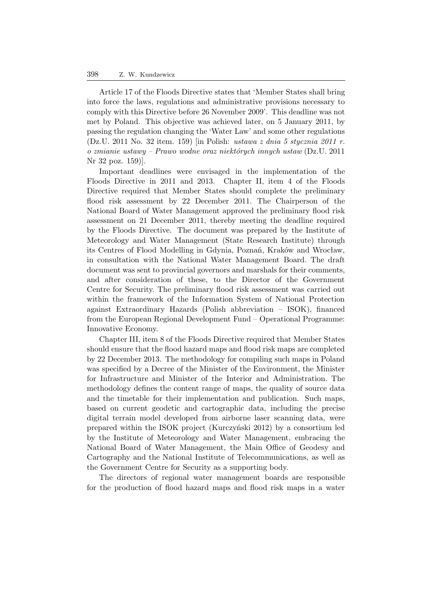Article 17 of the Floods Directive states that 'Member States shall bring into force the laws, regulations and administrative provisions necessary to comply with this Directive before 26 November 2009'. This deadline was not met by Poland. This objective was achieved later, on 5 January 2011, by passing the regulation changing the 'Water Law' and some other regulations (Dz.U. 2011 No. 32 item. 159) [in Polish: *ustawa z dnia 5 stycznia 2011 r. o zmianie ustawy – Prawo wodne oraz niektórych innych ustaw* (Dz.U. 2011 Nr 32 poz. 159)].

Important deadlines were envisaged in the implementation of the Floods Directive in 2011 and 2013. Chapter II, item 4 of the Floods Directive required that Member States should complete the preliminary flood risk assessment by 22 December 2011. The Chairperson of the National Board of Water Management approved the preliminary flood risk assessment on 21 December 2011, thereby meeting the deadline required by the Floods Directive. The document was prepared by the Institute of Meteorology and Water Management (State Research Institute) through its Centres of Flood Modelling in Gdynia, Poznań, Kraków and Wrocław, in consultation with the National Water Management Board. The draft document was sent to provincial governors and marshals for their comments, and after consideration of these, to the Director of the Government Centre for Security. The preliminary flood risk assessment was carried out within the framework of the Information System of National Protection against Extraordinary Hazards (Polish abbreviation – ISOK), financed from the European Regional Development Fund – Operational Programme: Innovative Economy.

Chapter III, item 8 of the Floods Directive required that Member States should ensure that the flood hazard maps and flood risk maps are completed by 22 December 2013. The methodology for compiling such maps in Poland was specified by a Decree of the Minister of the Environment, the Minister for Infrastructure and Minister of the Interior and Administration. The methodology defines the content range of maps, the quality of source data and the timetable for their implementation and publication. Such maps, based on current geodetic and cartographic data, including the precise digital terrain model developed from airborne laser scanning data, were prepared within the ISOK project (Kurczyński 2012) by a consortium led by the Institute of Meteorology and Water Management, embracing the National Board of Water Management, the Main Office of Geodesy and Cartography and the National Institute of Telecommunications, as well as the Government Centre for Security as a supporting body.

The directors of regional water management boards are responsible for the production of flood hazard maps and flood risk maps in a water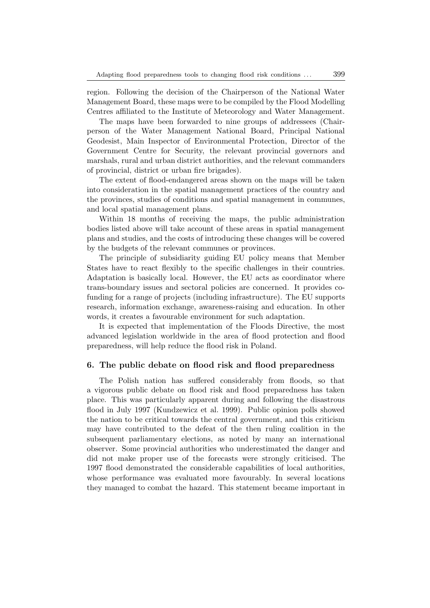region. Following the decision of the Chairperson of the National Water Management Board, these maps were to be compiled by the Flood Modelling Centres affiliated to the Institute of Meteorology and Water Management.

The maps have been forwarded to nine groups of addressees (Chairperson of the Water Management National Board, Principal National Geodesist, Main Inspector of Environmental Protection, Director of the Government Centre for Security, the relevant provincial governors and marshals, rural and urban district authorities, and the relevant commanders of provincial, district or urban fire brigades).

The extent of flood-endangered areas shown on the maps will be taken into consideration in the spatial management practices of the country and the provinces, studies of conditions and spatial management in communes, and local spatial management plans.

Within 18 months of receiving the maps, the public administration bodies listed above will take account of these areas in spatial management plans and studies, and the costs of introducing these changes will be covered by the budgets of the relevant communes or provinces.

The principle of subsidiarity guiding EU policy means that Member States have to react flexibly to the specific challenges in their countries. Adaptation is basically local. However, the EU acts as coordinator where trans-boundary issues and sectoral policies are concerned. It provides cofunding for a range of projects (including infrastructure). The EU supports research, information exchange, awareness-raising and education. In other words, it creates a favourable environment for such adaptation.

It is expected that implementation of the Floods Directive, the most advanced legislation worldwide in the area of flood protection and flood preparedness, will help reduce the flood risk in Poland.

# **6. The public debate on flood risk and flood preparedness**

The Polish nation has suffered considerably from floods, so that a vigorous public debate on flood risk and flood preparedness has taken place. This was particularly apparent during and following the disastrous flood in July 1997 (Kundzewicz et al. 1999). Public opinion polls showed the nation to be critical towards the central government, and this criticism may have contributed to the defeat of the then ruling coalition in the subsequent parliamentary elections, as noted by many an international observer. Some provincial authorities who underestimated the danger and did not make proper use of the forecasts were strongly criticised. The 1997 flood demonstrated the considerable capabilities of local authorities, whose performance was evaluated more favourably. In several locations they managed to combat the hazard. This statement became important in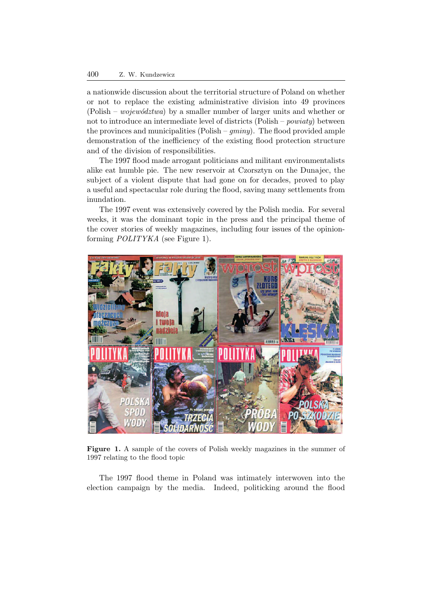a nationwide discussion about the territorial structure of Poland on whether or not to replace the existing administrative division into 49 provinces (Polish – *województwa*) by a smaller number of larger units and whether or not to introduce an intermediate level of districts (Polish – *powiaty*) between the provinces and municipalities (Polish – *gminy*). The flood provided ample demonstration of the inefficiency of the existing flood protection structure and of the division of responsibilities.

The 1997 flood made arrogant politicians and militant environmentalists alike eat humble pie. The new reservoir at Czorsztyn on the Dunajec, the subject of a violent dispute that had gone on for decades, proved to play a useful and spectacular role during the flood, saving many settlements from inundation.

The 1997 event was extensively covered by the Polish media. For several weeks, it was the dominant topic in the press and the principal theme of the cover stories of weekly magazines, including four issues of the opinionforming *POLITYKA* (see Figure 1).



**Figure 1.** A sample of the covers of Polish weekly magazines in the summer of 1997 relating to the flood topic

The 1997 flood theme in Poland was intimately interwoven into the election campaign by the media. Indeed, politicking around the flood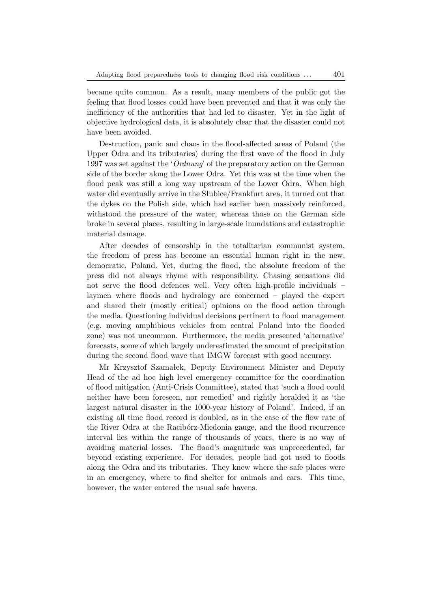became quite common. As a result, many members of the public got the feeling that flood losses could have been prevented and that it was only the inefficiency of the authorities that had led to disaster. Yet in the light of objective hydrological data, it is absolutely clear that the disaster could not have been avoided.

Destruction, panic and chaos in the flood-affected areas of Poland (the Upper Odra and its tributaries) during the first wave of the flood in July 1997 was set against the '*Ordnung*' of the preparatory action on the German side of the border along the Lower Odra. Yet this was at the time when the flood peak was still a long way upstream of the Lower Odra. When high water did eventually arrive in the Słubice/Frankfurt area, it turned out that the dykes on the Polish side, which had earlier been massively reinforced, withstood the pressure of the water, whereas those on the German side broke in several places, resulting in large-scale inundations and catastrophic material damage.

After decades of censorship in the totalitarian communist system, the freedom of press has become an essential human right in the new, democratic, Poland. Yet, during the flood, the absolute freedom of the press did not always rhyme with responsibility. Chasing sensations did not serve the flood defences well. Very often high-profile individuals – laymen where floods and hydrology are concerned – played the expert and shared their (mostly critical) opinions on the flood action through the media. Questioning individual decisions pertinent to flood management (e.g. moving amphibious vehicles from central Poland into the flooded zone) was not uncommon. Furthermore, the media presented 'alternative' forecasts, some of which largely underestimated the amount of precipitation during the second flood wave that IMGW forecast with good accuracy.

Mr Krzysztof Szamałek, Deputy Environment Minister and Deputy Head of the ad hoc high level emergency committee for the coordination of flood mitigation (Anti-Crisis Committee), stated that 'such a flood could neither have been foreseen, nor remedied' and rightly heralded it as 'the largest natural disaster in the 1000-year history of Poland'. Indeed, if an existing all time flood record is doubled, as in the case of the flow rate of the River Odra at the Racibórz-Miedonia gauge, and the flood recurrence interval lies within the range of thousands of years, there is no way of avoiding material losses. The flood's magnitude was unprecedented, far beyond existing experience. For decades, people had got used to floods along the Odra and its tributaries. They knew where the safe places were in an emergency, where to find shelter for animals and cars. This time, however, the water entered the usual safe havens.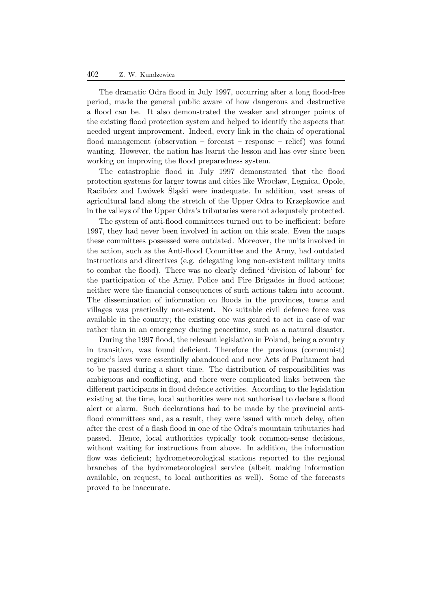#### 402 Z. W. Kundzewicz

The dramatic Odra flood in July 1997, occurring after a long flood-free period, made the general public aware of how dangerous and destructive a flood can be. It also demonstrated the weaker and stronger points of the existing flood protection system and helped to identify the aspects that needed urgent improvement. Indeed, every link in the chain of operational flood management (observation – forecast – response – relief) was found wanting. However, the nation has learnt the lesson and has ever since been working on improving the flood preparedness system.

The catastrophic flood in July 1997 demonstrated that the flood protection systems for larger towns and cities like Wrocław, Legnica, Opole, Racibórz and Lwówek Śląski were inadequate. In addition, vast areas of agricultural land along the stretch of the Upper Odra to Krzepkowice and in the valleys of the Upper Odra's tributaries were not adequately protected.

The system of anti-flood committees turned out to be inefficient: before 1997, they had never been involved in action on this scale. Even the maps these committees possessed were outdated. Moreover, the units involved in the action, such as the Anti-flood Committee and the Army, had outdated instructions and directives (e.g. delegating long non-existent military units to combat the flood). There was no clearly defined 'division of labour' for the participation of the Army, Police and Fire Brigades in flood actions; neither were the financial consequences of such actions taken into account. The dissemination of information on floods in the provinces, towns and villages was practically non-existent. No suitable civil defence force was available in the country; the existing one was geared to act in case of war rather than in an emergency during peacetime, such as a natural disaster.

During the 1997 flood, the relevant legislation in Poland, being a country in transition, was found deficient. Therefore the previous (communist) regime's laws were essentially abandoned and new Acts of Parliament had to be passed during a short time. The distribution of responsibilities was ambiguous and conflicting, and there were complicated links between the different participants in flood defence activities. According to the legislation existing at the time, local authorities were not authorised to declare a flood alert or alarm. Such declarations had to be made by the provincial antiflood committees and, as a result, they were issued with much delay, often after the crest of a flash flood in one of the Odra's mountain tributaries had passed. Hence, local authorities typically took common-sense decisions, without waiting for instructions from above. In addition, the information flow was deficient; hydrometeorological stations reported to the regional branches of the hydrometeorological service (albeit making information available, on request, to local authorities as well). Some of the forecasts proved to be inaccurate.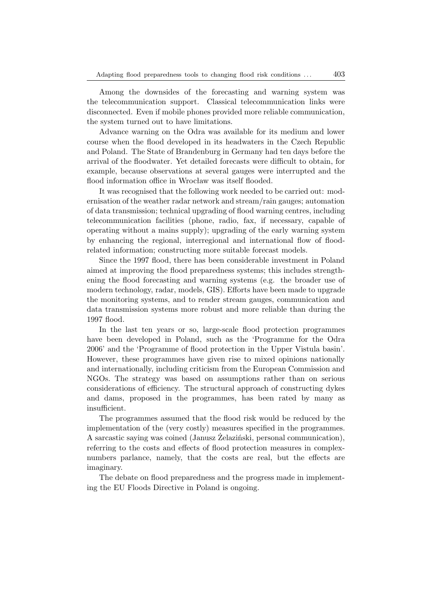Among the downsides of the forecasting and warning system was the telecommunication support. Classical telecommunication links were disconnected. Even if mobile phones provided more reliable communication, the system turned out to have limitations.

Advance warning on the Odra was available for its medium and lower course when the flood developed in its headwaters in the Czech Republic and Poland. The State of Brandenburg in Germany had ten days before the arrival of the floodwater. Yet detailed forecasts were difficult to obtain, for example, because observations at several gauges were interrupted and the flood information office in Wrocław was itself flooded.

It was recognised that the following work needed to be carried out: modernisation of the weather radar network and stream/rain gauges; automation of data transmission; technical upgrading of flood warning centres, including telecommunication facilities (phone, radio, fax, if necessary, capable of operating without a mains supply); upgrading of the early warning system by enhancing the regional, interregional and international flow of floodrelated information; constructing more suitable forecast models.

Since the 1997 flood, there has been considerable investment in Poland aimed at improving the flood preparedness systems; this includes strengthening the flood forecasting and warning systems (e.g. the broader use of modern technology, radar, models, GIS). Efforts have been made to upgrade the monitoring systems, and to render stream gauges, communication and data transmission systems more robust and more reliable than during the 1997 flood.

In the last ten years or so, large-scale flood protection programmes have been developed in Poland, such as the 'Programme for the Odra 2006' and the 'Programme of flood protection in the Upper Vistula basin'. However, these programmes have given rise to mixed opinions nationally and internationally, including criticism from the European Commission and NGOs. The strategy was based on assumptions rather than on serious considerations of efficiency. The structural approach of constructing dykes and dams, proposed in the programmes, has been rated by many as insufficient.

The programmes assumed that the flood risk would be reduced by the implementation of the (very costly) measures specified in the programmes. A sarcastic saying was coined (Janusz Żelaziński, personal communication), referring to the costs and effects of flood protection measures in complexnumbers parlance, namely, that the costs are real, but the effects are imaginary.

The debate on flood preparedness and the progress made in implementing the EU Floods Directive in Poland is ongoing.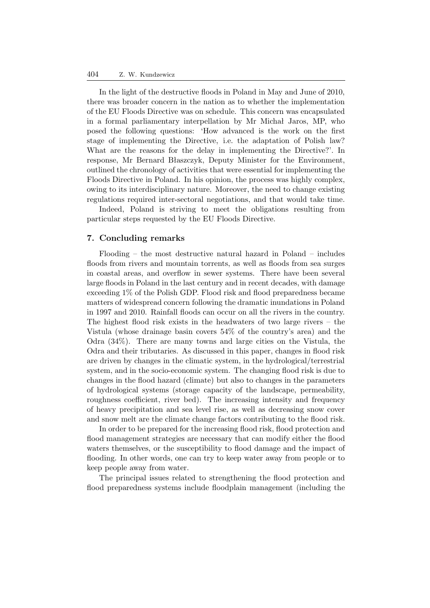#### 404 Z. W. Kundzewicz

In the light of the destructive floods in Poland in May and June of 2010, there was broader concern in the nation as to whether the implementation of the EU Floods Directive was on schedule. This concern was encapsulated in a formal parliamentary interpellation by Mr Michał Jaros, MP, who posed the following questions: 'How advanced is the work on the first stage of implementing the Directive, i.e. the adaptation of Polish law? What are the reasons for the delay in implementing the Directive?'. In response, Mr Bernard Błaszczyk, Deputy Minister for the Environment, outlined the chronology of activities that were essential for implementing the Floods Directive in Poland. In his opinion, the process was highly complex, owing to its interdisciplinary nature. Moreover, the need to change existing regulations required inter-sectoral negotiations, and that would take time.

Indeed, Poland is striving to meet the obligations resulting from particular steps requested by the EU Floods Directive.

## **7. Concluding remarks**

Flooding – the most destructive natural hazard in Poland – includes floods from rivers and mountain torrents, as well as floods from sea surges in coastal areas, and overflow in sewer systems. There have been several large floods in Poland in the last century and in recent decades, with damage exceeding 1% of the Polish GDP. Flood risk and flood preparedness became matters of widespread concern following the dramatic inundations in Poland in 1997 and 2010. Rainfall floods can occur on all the rivers in the country. The highest flood risk exists in the headwaters of two large rivers – the Vistula (whose drainage basin covers 54% of the country's area) and the Odra (34%). There are many towns and large cities on the Vistula, the Odra and their tributaries. As discussed in this paper, changes in flood risk are driven by changes in the climatic system, in the hydrological/terrestrial system, and in the socio-economic system. The changing flood risk is due to changes in the flood hazard (climate) but also to changes in the parameters of hydrological systems (storage capacity of the landscape, permeability, roughness coefficient, river bed). The increasing intensity and frequency of heavy precipitation and sea level rise, as well as decreasing snow cover and snow melt are the climate change factors contributing to the flood risk.

In order to be prepared for the increasing flood risk, flood protection and flood management strategies are necessary that can modify either the flood waters themselves, or the susceptibility to flood damage and the impact of flooding. In other words, one can try to keep water away from people or to keep people away from water.

The principal issues related to strengthening the flood protection and flood preparedness systems include floodplain management (including the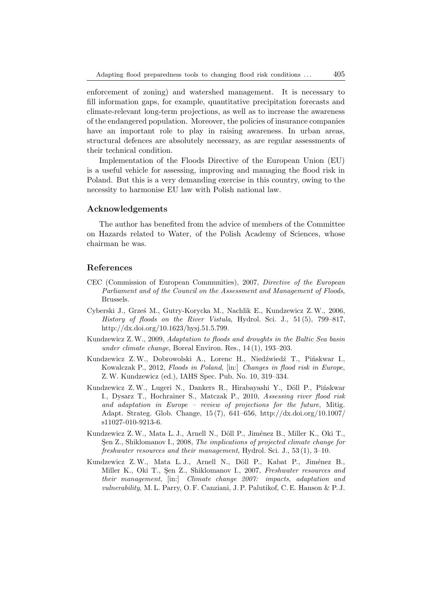enforcement of zoning) and watershed management. It is necessary to fill information gaps, for example, quantitative precipitation forecasts and climate-relevant long-term projections, as well as to increase the awareness of the endangered population. Moreover, the policies of insurance companies have an important role to play in raising awareness. In urban areas, structural defences are absolutely necessary, as are regular assessments of their technical condition.

Implementation of the Floods Directive of the European Union (EU) is a useful vehicle for assessing, improving and managing the flood risk in Poland. But this is a very demanding exercise in this country, owing to the necessity to harmonise EU law with Polish national law.

#### **Acknowledgements**

The author has benefited from the advice of members of the Committee on Hazards related to Water, of the Polish Academy of Sciences, whose chairman he was.

## **References**

- CEC (Commission of European Communities), 2007, *Directive of the European Parliament and of the Council on the Assessment and Management of Floods*, Brussels.
- Cyberski J., Grześ M., Gutry-Korycka M., Nachlik E., Kundzewicz Z.W., 2006, *History of floods on the River Vistula*, Hydrol. Sci. J., 51 (5), 799–817, http://dx.doi.org/10.1623/hysj.51.5.799.
- Kundzewicz Z.W., 2009, *Adaptation to floods and droughts in the Baltic Sea basin under climate change*, Boreal Environ. Res., 14 (1), 193–203.
- Kundzewicz Z.W., Dobrowolski A., Lorenc H., Niedźwiedź T., Pińskwar I., Kowalczak P., 2012, *Floods in Poland*, [in:] *Changes in flood risk in Europe*, Z.W. Kundzewicz (ed.), IAHS Spec. Pub. No. 10, 319–334.
- Kundzewicz Z.W., Lugeri N., Dankers R., Hirabayashi Y., Döll P., Pińskwar I., Dysarz T., Hochrainer S., Matczak P., 2010, *Assessing river flood risk and adaptation in Europe – review of projections for the future*, Mitig. Adapt. Strateg. Glob. Change, 15 (7), 641–656, http://dx.doi.org/10.1007/ s11027-010-9213-6.
- Kundzewicz Z.W., Mata L.J., Arnell N., Döll P., Jiménez B., Miller K., Oki T., Sen Z., Shiklomanov I., 2008, *The implications of projected climate change for freshwater resources and their management*, Hydrol. Sci. J., 53 (1), 3–10.
- Kundzewicz Z.W., Mata L.J., Arnell N., Döll P., Kabat P., Jiménez B., Miller K., Oki T., Sen Z., Shiklomanov I., 2007, *Freshwater resources and their management*, [in:] *Climate change 2007: impacts, adaptation and vulnerability*, M. L. Parry, O. F. Canziani, J. P. Palutikof, C. E. Hanson & P. J.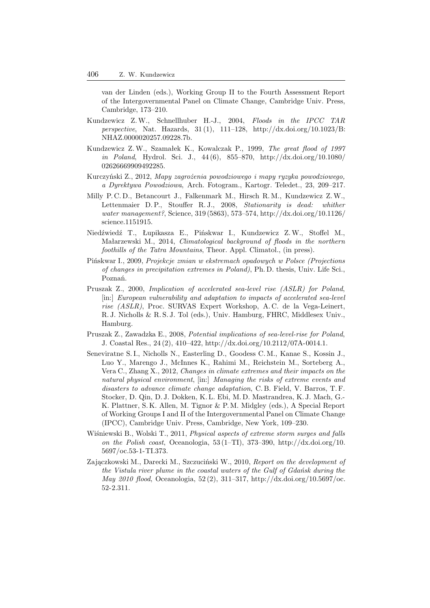van der Linden (eds.), Working Group II to the Fourth Assessment Report of the Intergovernmental Panel on Climate Change, Cambridge Univ. Press, Cambridge, 173–210.

- Kundzewicz Z.W., Schnellhuber H.-J., 2004, *Floods in the IPCC TAR perspective*, Nat. Hazards, 31 (1), 111–128, http://dx.doi.org/10.1023/B: NHAZ.0000020257.09228.7b.
- Kundzewicz Z.W., Szamałek K., Kowalczak P., 1999, *The great flood of 1997 in Poland*, Hydrol. Sci. J., 44 (6), 855–870, http://dx.doi.org/10.1080/ 02626669909492285.
- Kurczyński Z., 2012, *Mapy zagrożenia powodziowego i mapy ryzyka powodziowego, a Dyrektywa Powodziowa*, Arch. Fotogram., Kartogr. Teledet., 23, 209–217.
- Milly P. C. D., Betancourt J., Falkenmark M., Hirsch R. M., Kundzewicz Z.W., Lettenmaier D. P., Stouffer R. J., 2008, *Stationarity is dead: whither water management?*, Science, 319 (5863), 573–574, http://dx.doi.org/10.1126/ science.1151915.
- Niedźwiedź T., Łupikasza E., Pińskwar I., Kundzewicz Z.W., Stoffel M., Małarzewski M., 2014, *Climatological background of floods in the northern foothills of the Tatra Mountains*, Theor. Appl. Climatol., (in press).
- Pińskwar I., 2009, *Projekcje zmian w ekstremach opadowych w Polsce (Projections of changes in precipitation extremes in Poland)*, Ph. D. thesis, Univ. Life Sci., Poznań.
- Pruszak Z., 2000, *Implication of accelerated sea-level rise (ASLR) for Poland*, [in:] *European vulnerability and adaptation to impacts of accelerated sea-level rise (ASLR)*, Proc. SURVAS Expert Workshop, A. C. de la Vega-Leinert, R. J. Nicholls & R. S. J. Tol (eds.), Univ. Hamburg, FHRC, Middlesex Univ., Hamburg.
- Pruszak Z., Zawadzka E., 2008, *Potential implications of sea-level-rise for Poland*, J. Coastal Res., 24 (2), 410–422, http://dx.doi.org/10.2112/07A-0014.1.
- Seneviratne S. I., Nicholls N., Easterling D., Goodess C. M., Kanae S., Kossin J., Luo Y., Marengo J., McInnes K., Rahimi M., Reichstein M., Sorteberg A., Vera C., Zhang X., 2012, *Changes in climate extremes and their impacts on the natural physical environment*, [in:] *Managing the risks of extreme events and disasters to advance climate change adaptation*, C. B. Field, V. Barros, T. F. Stocker, D. Qin, D. J. Dokken, K. L. Ebi, M. D. Mastrandrea, K. J. Mach, G.- K. Plattner, S. K. Allen, M. Tignor & P. M. Midgley (eds.), A Special Report of Working Groups I and II of the Intergovernmental Panel on Climate Change (IPCC), Cambridge Univ. Press, Cambridge, New York, 109–230.
- Wiśniewski B., Wolski T., 2011, *Physical aspects of extreme storm surges and falls on the Polish coast*, Oceanologia, 53 (1–TI), 373–390, http://dx.doi.org/10. 5697/oc.53-1-TI.373.
- Zajączkowski M., Darecki M., Szczuciński W., 2010, *Report on the development of the Vistula river plume in the coastal waters of the Gulf of Gdańsk during the May 2010 flood*, Oceanologia, 52 (2), 311–317, http://dx.doi.org/10.5697/oc. 52-2.311.